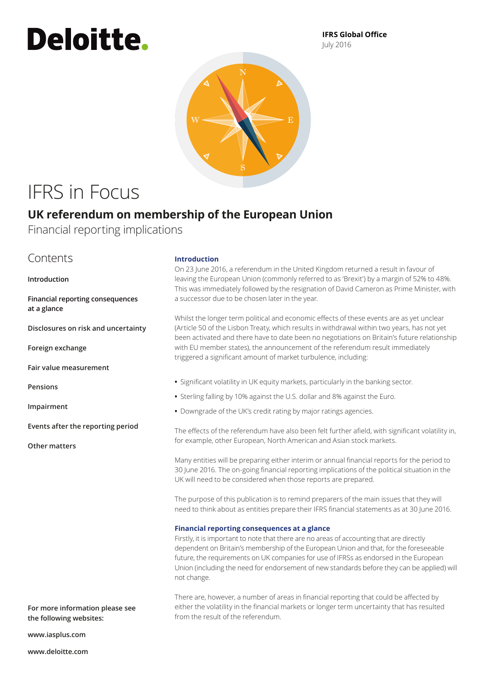# **Deloitte.**

**IFRS Global Office** July 2016



## IFRS in Focus

### **UK referendum on membership of the European Union**

Financial reporting implications

### Contents

**Introduction**

**Financial reporting consequences at a glance**

**[Disclosures on risk and uncertainty](#page-1-0)**

**[Foreign exchange](#page-1-1)**

**[Fair value measurement](#page-1-2)**

**[Pensions](#page-2-0)**

**[Impairment](#page-2-1)**

**[Events after the reporting period](#page-2-2)**

**[Other matters](#page-2-3)**

#### **Introduction**

On 23 June 2016, a referendum in the United Kingdom returned a result in favour of leaving the European Union (commonly referred to as 'Brexit') by a margin of 52% to 48%. This was immediately followed by the resignation of David Cameron as Prime Minister, with a successor due to be chosen later in the year.

Whilst the longer term political and economic effects of these events are as yet unclear (Article 50 of the Lisbon Treaty, which results in withdrawal within two years, has not yet been activated and there have to date been no negotiations on Britain's future relationship with EU member states), the announcement of the referendum result immediately triggered a significant amount of market turbulence, including:

- **•** Significant volatility in UK equity markets, particularly in the banking sector.
- **•** Sterling falling by 10% against the U.S. dollar and 8% against the Euro.
- **•** Downgrade of the UK's credit rating by major ratings agencies.

The effects of the referendum have also been felt further afield, with significant volatility in, for example, other European, North American and Asian stock markets.

Many entities will be preparing either interim or annual financial reports for the period to 30 June 2016. The on‑going financial reporting implications of the political situation in the UK will need to be considered when those reports are prepared.

The purpose of this publication is to remind preparers of the main issues that they will need to think about as entities prepare their IFRS financial statements as at 30 June 2016.

#### **Financial reporting consequences at a glance**

Firstly, it is important to note that there are no areas of accounting that are directly dependent on Britain's membership of the European Union and that, for the foreseeable future, the requirements on UK companies for use of IFRSs as endorsed in the European Union (including the need for endorsement of new standards before they can be applied) will not change.

There are, however, a number of areas in financial reporting that could be affected by either the volatility in the financial markets or longer term uncertainty that has resulted from the result of the referendum.

**For more information please see the following websites:**

**<www.iasplus.com>**

**<www.deloitte.com>**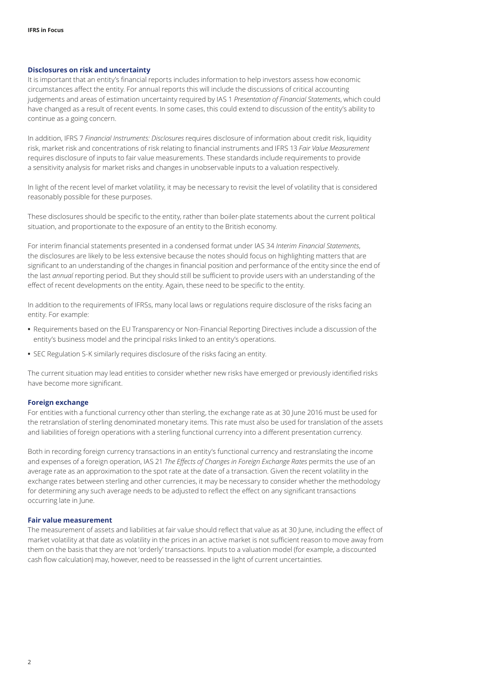#### <span id="page-1-0"></span>**Disclosures on risk and uncertainty**

It is important that an entity's financial reports includes information to help investors assess how economic circumstances affect the entity. For annual reports this will include the discussions of critical accounting judgements and areas of estimation uncertainty required by IAS 1 *Presentation of Financial Statements*, which could have changed as a result of recent events. In some cases, this could extend to discussion of the entity's ability to continue as a going concern.

In addition, IFRS 7 *Financial Instruments: Disclosures* requires disclosure of information about credit risk, liquidity risk, market risk and concentrations of risk relating to financial instruments and IFRS 13 *Fair Value Measurement*  requires disclosure of inputs to fair value measurements. These standards include requirements to provide a sensitivity analysis for market risks and changes in unobservable inputs to a valuation respectively.

In light of the recent level of market volatility, it may be necessary to revisit the level of volatility that is considered reasonably possible for these purposes.

These disclosures should be specific to the entity, rather than boiler-plate statements about the current political situation, and proportionate to the exposure of an entity to the British economy.

For interim financial statements presented in a condensed format under IAS 34 *Interim Financial Statements*, the disclosures are likely to be less extensive because the notes should focus on highlighting matters that are significant to an understanding of the changes in financial position and performance of the entity since the end of the last *annual* reporting period. But they should still be sufficient to provide users with an understanding of the effect of recent developments on the entity. Again, these need to be specific to the entity.

In addition to the requirements of IFRSs, many local laws or regulations require disclosure of the risks facing an entity. For example:

- **•** Requirements based on the EU Transparency or Non‑Financial Reporting Directives include a discussion of the entity's business model and the principal risks linked to an entity's operations.
- **•** SEC Regulation S‑K similarly requires disclosure of the risks facing an entity.

The current situation may lead entities to consider whether new risks have emerged or previously identified risks have become more significant.

#### <span id="page-1-1"></span>**Foreign exchange**

For entities with a functional currency other than sterling, the exchange rate as at 30 June 2016 must be used for the retranslation of sterling denominated monetary items. This rate must also be used for translation of the assets and liabilities of foreign operations with a sterling functional currency into a different presentation currency.

Both in recording foreign currency transactions in an entity's functional currency and restranslating the income and expenses of a foreign operation, IAS 21 *The Effects of Changes in Foreign Exchange Rates* permits the use of an average rate as an approximation to the spot rate at the date of a transaction. Given the recent volatility in the exchange rates between sterling and other currencies, it may be necessary to consider whether the methodology for determining any such average needs to be adjusted to reflect the effect on any significant transactions occurring late in June.

#### <span id="page-1-2"></span>**Fair value measurement**

The measurement of assets and liabilities at fair value should reflect that value as at 30 June, including the effect of market volatility at that date as volatility in the prices in an active market is not sufficient reason to move away from them on the basis that they are not 'orderly' transactions. Inputs to a valuation model (for example, a discounted cash flow calculation) may, however, need to be reassessed in the light of current uncertainties.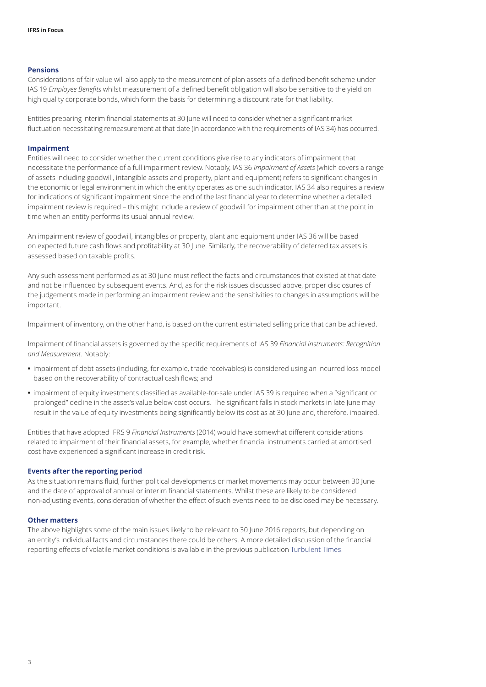#### <span id="page-2-0"></span>**Pensions**

Considerations of fair value will also apply to the measurement of plan assets of a defined benefit scheme under IAS 19 *Employee Benefits* whilst measurement of a defined benefit obligation will also be sensitive to the yield on high quality corporate bonds, which form the basis for determining a discount rate for that liability.

Entities preparing interim financial statements at 30 June will need to consider whether a significant market fluctuation necessitating remeasurement at that date (in accordance with the requirements of IAS 34) has occurred.

#### <span id="page-2-1"></span>**Impairment**

Entities will need to consider whether the current conditions give rise to any indicators of impairment that necessitate the performance of a full impairment review. Notably, IAS 36 *Impairment of Assets* (which covers a range of assets including goodwill, intangible assets and property, plant and equipment) refers to significant changes in the economic or legal environment in which the entity operates as one such indicator. IAS 34 also requires a review for indications of significant impairment since the end of the last financial year to determine whether a detailed impairment review is required – this might include a review of goodwill for impairment other than at the point in time when an entity performs its usual annual review.

An impairment review of goodwill, intangibles or property, plant and equipment under IAS 36 will be based on expected future cash flows and profitability at 30 June. Similarly, the recoverability of deferred tax assets is assessed based on taxable profits.

Any such assessment performed as at 30 June must reflect the facts and circumstances that existed at that date and not be influenced by subsequent events. And, as for the risk issues discussed above, proper disclosures of the judgements made in performing an impairment review and the sensitivities to changes in assumptions will be important.

Impairment of inventory, on the other hand, is based on the current estimated selling price that can be achieved.

Impairment of financial assets is governed by the specific requirements of IAS 39 *Financial Instruments: Recognition and Measurement*. Notably:

- **•** impairment of debt assets (including, for example, trade receivables) is considered using an incurred loss model based on the recoverability of contractual cash flows; and
- **•** impairment of equity investments classified as available‑for‑sale under IAS 39 is required when a "significant or prolonged" decline in the asset's value below cost occurs. The significant falls in stock markets in late June may result in the value of equity investments being significantly below its cost as at 30 June and, therefore, impaired.

Entities that have adopted IFRS 9 *Financial Instruments* (2014) would have somewhat different considerations related to impairment of their financial assets, for example, whether financial instruments carried at amortised cost have experienced a significant increase in credit risk.

#### <span id="page-2-2"></span>**Events after the reporting period**

As the situation remains fluid, further political developments or market movements may occur between 30 June and the date of approval of annual or interim financial statements. Whilst these are likely to be considered non‑adjusting events, consideration of whether the effect of such events need to be disclosed may be necessary.

#### <span id="page-2-3"></span>**Other matters**

The above highlights some of the main issues likely to be relevant to 30 June 2016 reports, but depending on an entity's individual facts and circumstances there could be others. A more detailed discussion of the financial reporting effects of volatile market conditions is available in the previous publication [Turbulent Times](http://www.iasplus.com/en/publications/global/other/turbulent-times-2014-financial-reporting-considerations-arising-from-the-eurozone-crisis).